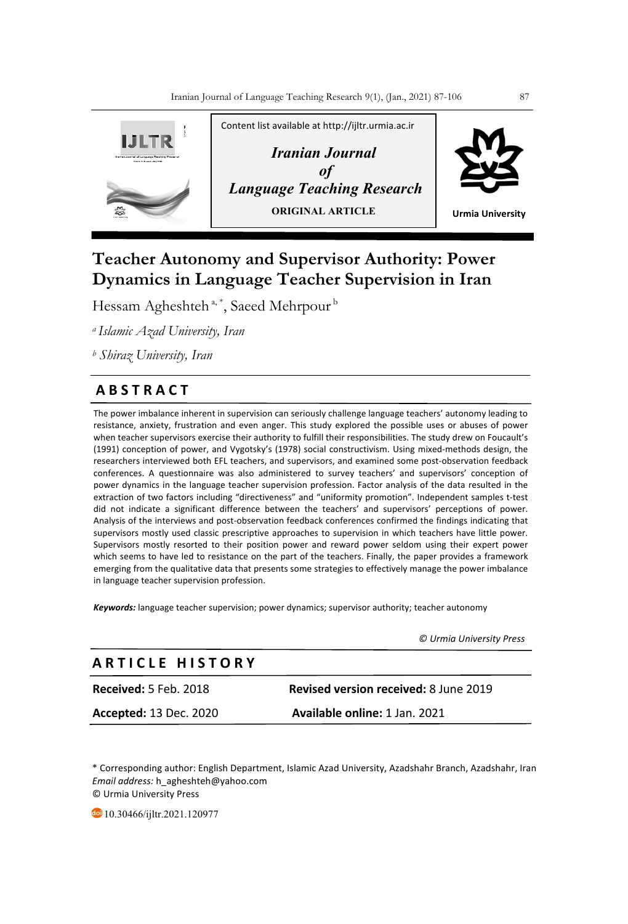

# **Teacher Autonomy and Supervisor Authority: Power Dynamics in Language Teacher Supervision in Iran**

Hessam Agheshteh<sup>a,\*</sup>, Saeed Mehrpour<sup>b</sup>

*a Islamic Azad University, Iran*

*<sup>b</sup> Shiraz University, Iran*

## **A B S T R A C T**

The power imbalance inherent in supervision can seriously challenge language teachers' autonomy leading to resistance, anxiety, frustration and even anger. This study explored the possible uses or abuses of power when teacher supervisors exercise their authority to fulfill their responsibilities. The study drew on Foucault's (1991) conception of power, and Vygotsky's (1978) social constructivism. Using mixed-methods design, the researchers interviewed both EFL teachers, and supervisors, and examined some post-observation feedback conferences. A questionnaire was also administered to survey teachers' and supervisors' conception of power dynamics in the language teacher supervision profession. Factor analysis of the data resulted in the extraction of two factors including "directiveness" and "uniformity promotion". Independent samples t-test did not indicate a significant difference between the teachers' and supervisors' perceptions of power. Analysis of the interviews and post-observation feedback conferences confirmed the findings indicating that supervisors mostly used classic prescriptive approaches to supervision in which teachers have little power. Supervisors mostly resorted to their position power and reward power seldom using their expert power which seems to have led to resistance on the part of the teachers. Finally, the paper provides a framework emerging from the qualitative data that presents some strategies to effectively manage the power imbalance in language teacher supervision profession.

*Keywords:* language teacher supervision; power dynamics; supervisor authority; teacher autonomy

 *© Urmia University Press*

## **A R T I C L E H I S T O R Y**

**Received:** 5 Feb. 2018 **Revised version received:** 8 June 2019

**Accepted:** 13 Dec. 2020 **Available online:** 1 Jan. 2021

\* Corresponding author: English Department, Islamic Azad University, Azadshahr Branch, Azadshahr, Iran *Email address:* h\_agheshteh@yahoo.com © Urmia University Press

10.30466/ijltr.2021.120977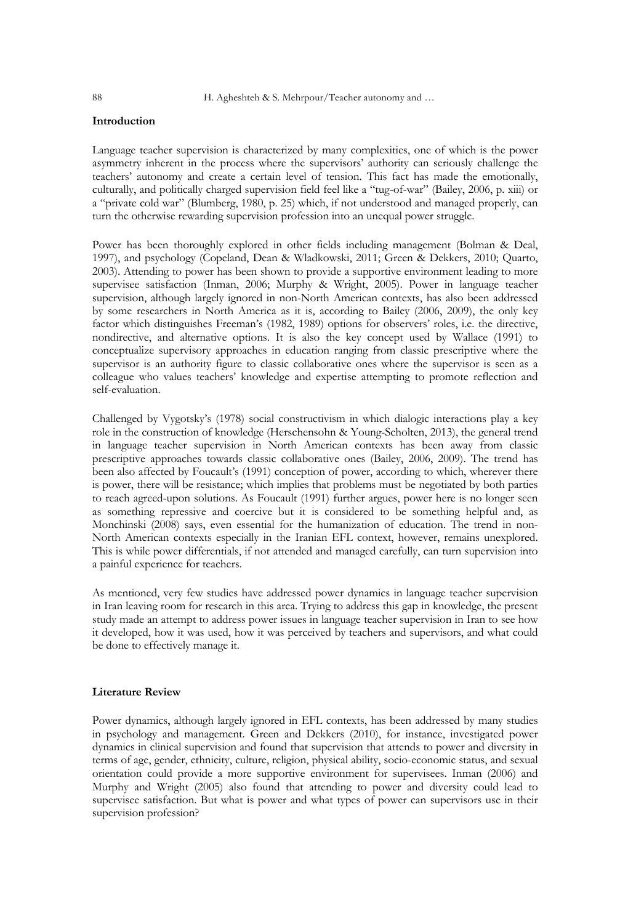## **Introduction**

Language teacher supervision is characterized by many complexities, one of which is the power asymmetry inherent in the process where the supervisors' authority can seriously challenge the teachers' autonomy and create a certain level of tension. This fact has made the emotionally, culturally, and politically charged supervision field feel like a "tug-of-war" (Bailey, 2006, p. xiii) or a "private cold war" (Blumberg, 1980, p. 25) which, if not understood and managed properly, can turn the otherwise rewarding supervision profession into an unequal power struggle.

Power has been thoroughly explored in other fields including management (Bolman & Deal, 1997), and psychology (Copeland, Dean & Wladkowski, 2011; Green & Dekkers, 2010; Quarto, 2003). Attending to power has been shown to provide a supportive environment leading to more supervisee satisfaction (Inman, 2006; Murphy & Wright, 2005). Power in language teacher supervision, although largely ignored in non-North American contexts, has also been addressed by some researchers in North America as it is, according to Bailey (2006, 2009), the only key factor which distinguishes Freeman's (1982, 1989) options for observers' roles, i.e. the directive, nondirective, and alternative options. It is also the key concept used by Wallace (1991) to conceptualize supervisory approaches in education ranging from classic prescriptive where the supervisor is an authority figure to classic collaborative ones where the supervisor is seen as a colleague who values teachers' knowledge and expertise attempting to promote reflection and self-evaluation.

Challenged by Vygotsky's (1978) social constructivism in which dialogic interactions play a key role in the construction of knowledge (Herschensohn & Young-Scholten, 2013), the general trend in language teacher supervision in North American contexts has been away from classic prescriptive approaches towards classic collaborative ones (Bailey, 2006, 2009). The trend has been also affected by Foucault's (1991) conception of power, according to which, wherever there is power, there will be resistance; which implies that problems must be negotiated by both parties to reach agreed-upon solutions. As Foucault (1991) further argues, power here is no longer seen as something repressive and coercive but it is considered to be something helpful and, as Monchinski (2008) says, even essential for the humanization of education. The trend in non-North American contexts especially in the Iranian EFL context, however, remains unexplored. This is while power differentials, if not attended and managed carefully, can turn supervision into a painful experience for teachers.

As mentioned, very few studies have addressed power dynamics in language teacher supervision in Iran leaving room for research in this area. Trying to address this gap in knowledge, the present study made an attempt to address power issues in language teacher supervision in Iran to see how it developed, how it was used, how it was perceived by teachers and supervisors, and what could be done to effectively manage it.

## **Literature Review**

Power dynamics, although largely ignored in EFL contexts, has been addressed by many studies in psychology and management. Green and Dekkers (2010), for instance, investigated power dynamics in clinical supervision and found that supervision that attends to power and diversity in terms of age, gender, ethnicity, culture, religion, physical ability, socio-economic status, and sexual orientation could provide a more supportive environment for supervisees. Inman (2006) and Murphy and Wright (2005) also found that attending to power and diversity could lead to supervisee satisfaction. But what is power and what types of power can supervisors use in their supervision profession?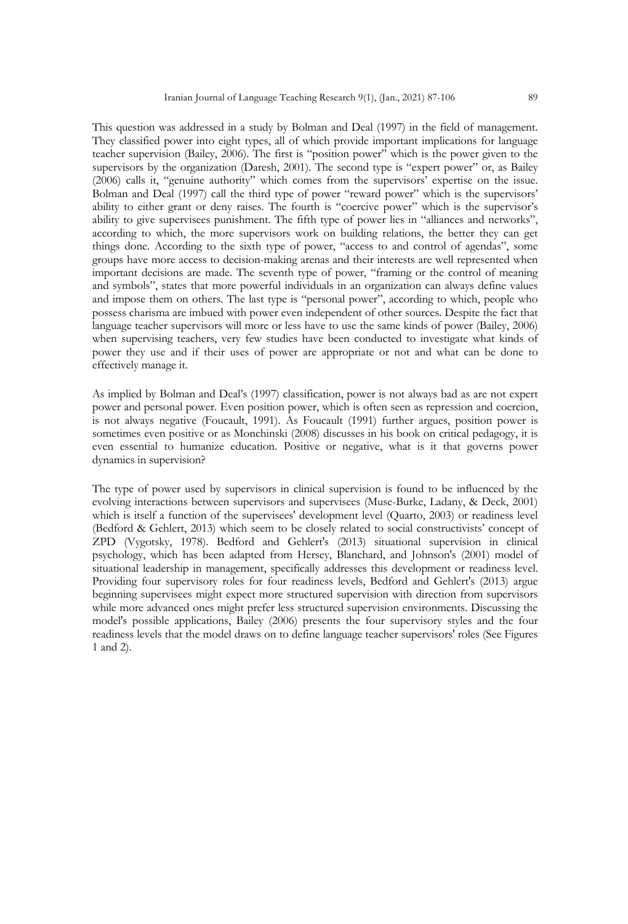This question was addressed in a study by Bolman and Deal (1997) in the field of management. They classified power into eight types, all of which provide important implications for language teacher supervision (Bailey, 2006). The first is "position power" which is the power given to the supervisors by the organization (Daresh, 2001). The second type is "expert power" or, as Bailey (2006) calls it, "genuine authority" which comes from the supervisors' expertise on the issue. Bolman and Deal (1997) call the third type of power "reward power" which is the supervisors' ability to either grant or deny raises. The fourth is "coercive power" which is the supervisor's ability to give supervisees punishment. The fifth type of power lies in "alliances and networks", according to which, the more supervisors work on building relations, the better they can get things done. According to the sixth type of power, "access to and control of agendas", some groups have more access to decision-making arenas and their interests are well represented when important decisions are made. The seventh type of power, "framing or the control of meaning and symbols", states that more powerful individuals in an organization can always define values and impose them on others. The last type is "personal power", according to which, people who possess charisma are imbued with power even independent of other sources. Despite the fact that language teacher supervisors will more or less have to use the same kinds of power (Bailey, 2006) when supervising teachers, very few studies have been conducted to investigate what kinds of power they use and if their uses of power are appropriate or not and what can be done to effectively manage it.

As implied by Bolman and Deal's (1997) classification, power is not always bad as are not expert power and personal power. Even position power, which is often seen as repression and coercion, is not always negative (Foucault, 1991). As Foucault (1991) further argues, position power is sometimes even positive or as Monchinski (2008) discusses in his book on critical pedagogy, it is even essential to humanize education. Positive or negative, what is it that governs power dynamics in supervision?

The type of power used by supervisors in clinical supervision is found to be influenced by the evolving interactions between supervisors and supervisees (Muse-Burke, Ladany, & Deck, 2001) which is itself a function of the supervisees' development level (Quarto, 2003) or readiness level (Bedford & Gehlert, 2013) which seem to be closely related to social constructivists' concept of ZPD (Vygotsky, 1978). Bedford and Gehlert's (2013) situational supervision in clinical psychology, which has been adapted from Hersey, Blanchard, and Johnson's (2001) model of situational leadership in management, specifically addresses this development or readiness level. Providing four supervisory roles for four readiness levels, Bedford and Gehlert's (2013) argue beginning supervisees might expect more structured supervision with direction from supervisors while more advanced ones might prefer less structured supervision environments. Discussing the model's possible applications, Bailey (2006) presents the four supervisory styles and the four readiness levels that the model draws on to define language teacher supervisors' roles (See Figures 1 and 2).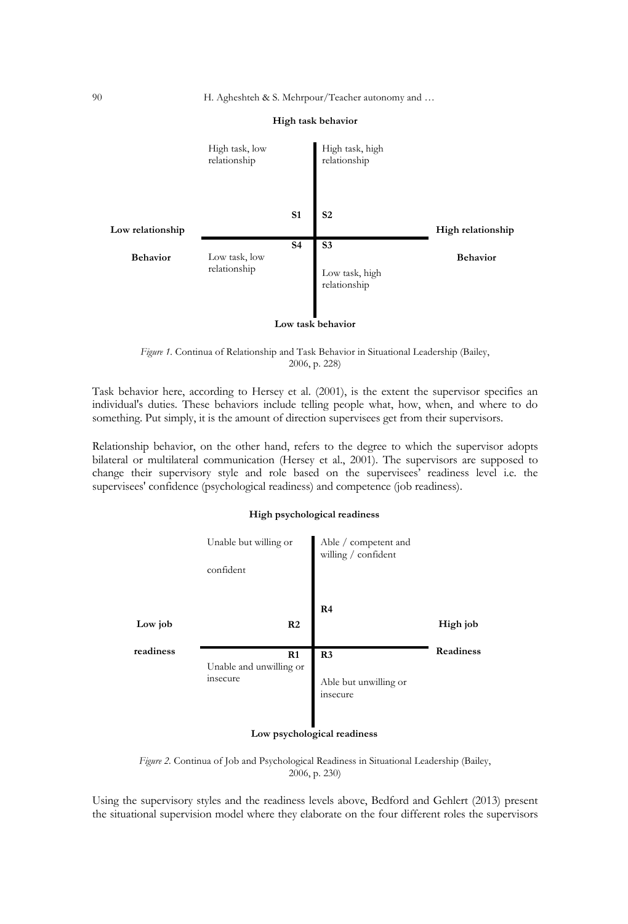

#### **High task behavior**

#### **Low task behavior**

*Figure 1.* Continua of Relationship and Task Behavior in Situational Leadership (Bailey, 2006, p. 228)

Task behavior here, according to Hersey et al. (2001), is the extent the supervisor specifies an individual's duties. These behaviors include telling people what, how, when, and where to do something. Put simply, it is the amount of direction supervisees get from their supervisors.

Relationship behavior, on the other hand, refers to the degree to which the supervisor adopts bilateral or multilateral communication (Hersey et al., 2001). The supervisors are supposed to change their supervisory style and role based on the supervisees' readiness level i.e. the supervisees' confidence (psychological readiness) and competence (job readiness).

## **High psychological readiness**

|           | Unable but willing or<br>confident        | Able / competent and<br>willing / confident         |           |
|-----------|-------------------------------------------|-----------------------------------------------------|-----------|
| Low job   | R <sub>2</sub>                            | R <sub>4</sub>                                      | High job  |
| readiness | R1<br>Unable and unwilling or<br>insecure | R <sub>3</sub><br>Able but unwilling or<br>insecure | Readiness |

## **Low psychological readiness**

*Figure 2.* Continua of Job and Psychological Readiness in Situational Leadership (Bailey, 2006, p. 230)

Using the supervisory styles and the readiness levels above, Bedford and Gehlert (2013) present the situational supervision model where they elaborate on the four different roles the supervisors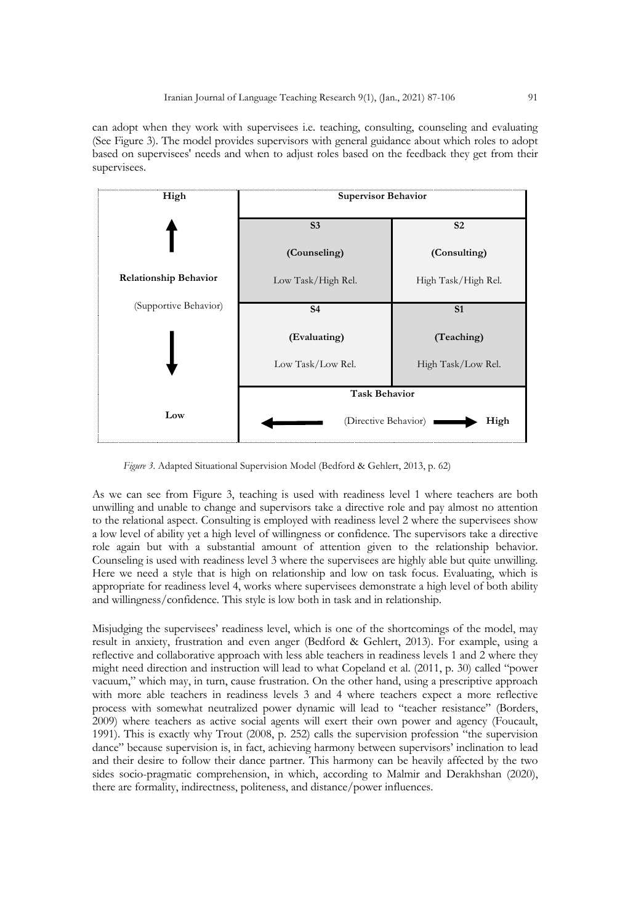can adopt when they work with supervisees i.e. teaching, consulting, counseling and evaluating (See Figure 3). The model provides supervisors with general guidance about which roles to adopt based on supervisees' needs and when to adjust roles based on the feedback they get from their supervisees.



*Figure 3.* Adapted Situational Supervision Model (Bedford & Gehlert, 2013, p. 62)

As we can see from Figure 3, teaching is used with readiness level 1 where teachers are both unwilling and unable to change and supervisors take a directive role and pay almost no attention to the relational aspect. Consulting is employed with readiness level 2 where the supervisees show a low level of ability yet a high level of willingness or confidence. The supervisors take a directive role again but with a substantial amount of attention given to the relationship behavior. Counseling is used with readiness level 3 where the supervisees are highly able but quite unwilling. Here we need a style that is high on relationship and low on task focus. Evaluating, which is appropriate for readiness level 4, works where supervisees demonstrate a high level of both ability and willingness/confidence. This style is low both in task and in relationship.

Misjudging the supervisees' readiness level, which is one of the shortcomings of the model, may result in anxiety, frustration and even anger (Bedford & Gehlert, 2013). For example, using a reflective and collaborative approach with less able teachers in readiness levels 1 and 2 where they might need direction and instruction will lead to what Copeland et al. (2011, p. 30) called "power vacuum," which may, in turn, cause frustration. On the other hand, using a prescriptive approach with more able teachers in readiness levels 3 and 4 where teachers expect a more reflective process with somewhat neutralized power dynamic will lead to "teacher resistance" (Borders, 2009) where teachers as active social agents will exert their own power and agency (Foucault, 1991). This is exactly why Trout (2008, p. 252) calls the supervision profession "the supervision dance" because supervision is, in fact, achieving harmony between supervisors' inclination to lead and their desire to follow their dance partner. This harmony can be heavily affected by the two sides socio-pragmatic comprehension, in which, according to Malmir and Derakhshan (2020), there are formality, indirectness, politeness, and distance/power influences.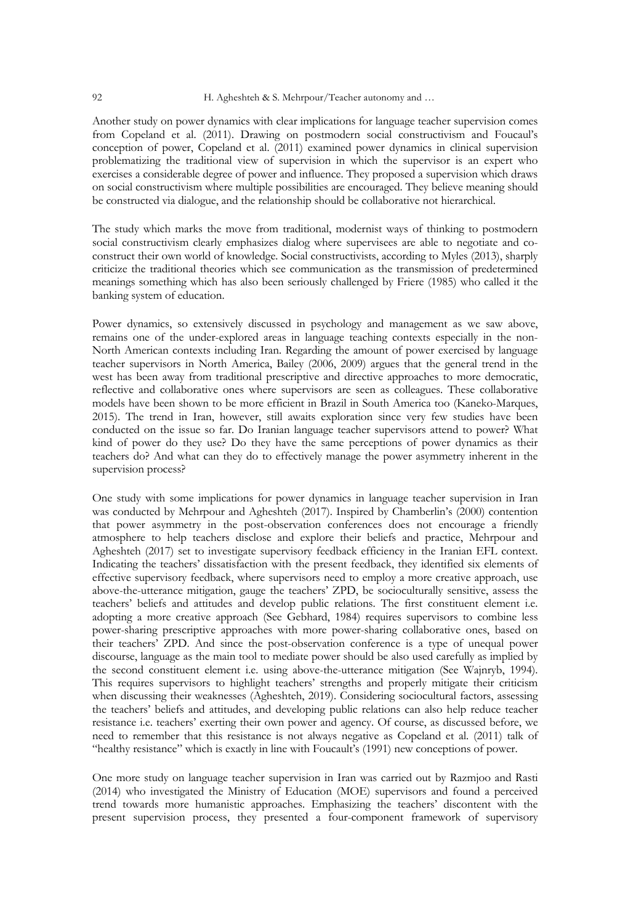Another study on power dynamics with clear implications for language teacher supervision comes from Copeland et al. (2011). Drawing on postmodern social constructivism and Foucaul's conception of power, Copeland et al. (2011) examined power dynamics in clinical supervision problematizing the traditional view of supervision in which the supervisor is an expert who exercises a considerable degree of power and influence. They proposed a supervision which draws on social constructivism where multiple possibilities are encouraged. They believe meaning should be constructed via dialogue, and the relationship should be collaborative not hierarchical.

The study which marks the move from traditional, modernist ways of thinking to postmodern social constructivism clearly emphasizes dialog where supervisees are able to negotiate and coconstruct their own world of knowledge. Social constructivists, according to Myles (2013), sharply criticize the traditional theories which see communication as the transmission of predetermined meanings something which has also been seriously challenged by Friere (1985) who called it the banking system of education.

Power dynamics, so extensively discussed in psychology and management as we saw above, remains one of the under-explored areas in language teaching contexts especially in the non-North American contexts including Iran. Regarding the amount of power exercised by language teacher supervisors in North America, Bailey (2006, 2009) argues that the general trend in the west has been away from traditional prescriptive and directive approaches to more democratic, reflective and collaborative ones where supervisors are seen as colleagues. These collaborative models have been shown to be more efficient in Brazil in South America too (Kaneko-Marques, 2015). The trend in Iran, however, still awaits exploration since very few studies have been conducted on the issue so far. Do Iranian language teacher supervisors attend to power? What kind of power do they use? Do they have the same perceptions of power dynamics as their teachers do? And what can they do to effectively manage the power asymmetry inherent in the supervision process?

One study with some implications for power dynamics in language teacher supervision in Iran was conducted by Mehrpour and Agheshteh (2017). Inspired by Chamberlin's (2000) contention that power asymmetry in the post-observation conferences does not encourage a friendly atmosphere to help teachers disclose and explore their beliefs and practice, Mehrpour and Agheshteh (2017) set to investigate supervisory feedback efficiency in the Iranian EFL context. Indicating the teachers' dissatisfaction with the present feedback, they identified six elements of effective supervisory feedback, where supervisors need to employ a more creative approach, use above-the-utterance mitigation, gauge the teachers' ZPD, be socioculturally sensitive, assess the teachers' beliefs and attitudes and develop public relations. The first constituent element i.e. adopting a more creative approach (See Gebhard, 1984) requires supervisors to combine less power-sharing prescriptive approaches with more power-sharing collaborative ones, based on their teachers' ZPD. And since the post-observation conference is a type of unequal power discourse, language as the main tool to mediate power should be also used carefully as implied by the second constituent element i.e. using above-the-utterance mitigation (See Wajnryb, 1994). This requires supervisors to highlight teachers' strengths and properly mitigate their criticism when discussing their weaknesses (Agheshteh, 2019). Considering sociocultural factors, assessing the teachers' beliefs and attitudes, and developing public relations can also help reduce teacher resistance i.e. teachers' exerting their own power and agency. Of course, as discussed before, we need to remember that this resistance is not always negative as Copeland et al. (2011) talk of "healthy resistance" which is exactly in line with Foucault's (1991) new conceptions of power.

One more study on language teacher supervision in Iran was carried out by Razmjoo and Rasti (2014) who investigated the Ministry of Education (MOE) supervisors and found a perceived trend towards more humanistic approaches. Emphasizing the teachers' discontent with the present supervision process, they presented a four-component framework of supervisory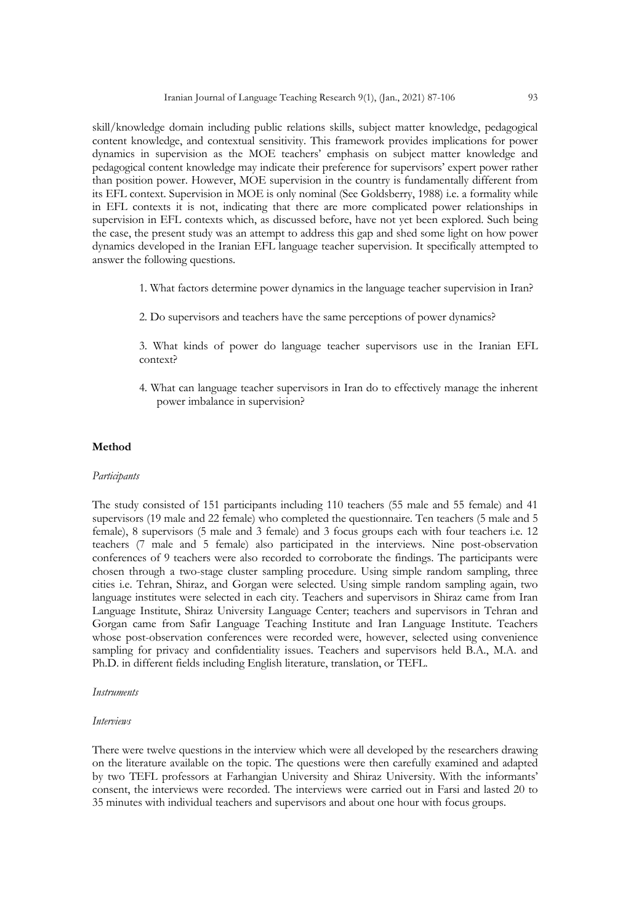skill/knowledge domain including public relations skills, subject matter knowledge, pedagogical content knowledge, and contextual sensitivity. This framework provides implications for power dynamics in supervision as the MOE teachers' emphasis on subject matter knowledge and pedagogical content knowledge may indicate their preference for supervisors' expert power rather than position power. However, MOE supervision in the country is fundamentally different from its EFL context. Supervision in MOE is only nominal (See Goldsberry, 1988) i.e. a formality while in EFL contexts it is not, indicating that there are more complicated power relationships in supervision in EFL contexts which, as discussed before, have not yet been explored. Such being the case, the present study was an attempt to address this gap and shed some light on how power dynamics developed in the Iranian EFL language teacher supervision. It specifically attempted to answer the following questions.

- 1. What factors determine power dynamics in the language teacher supervision in Iran?
- 2. Do supervisors and teachers have the same perceptions of power dynamics?

3. What kinds of power do language teacher supervisors use in the Iranian EFL context?

4. What can language teacher supervisors in Iran do to effectively manage the inherent power imbalance in supervision?

## **Method**

#### *Participants*

The study consisted of 151 participants including 110 teachers (55 male and 55 female) and 41 supervisors (19 male and 22 female) who completed the questionnaire. Ten teachers (5 male and 5 female), 8 supervisors (5 male and 3 female) and 3 focus groups each with four teachers i.e. 12 teachers (7 male and 5 female) also participated in the interviews. Nine post-observation conferences of 9 teachers were also recorded to corroborate the findings. The participants were chosen through a two-stage cluster sampling procedure. Using simple random sampling, three cities i.e. Tehran, Shiraz, and Gorgan were selected. Using simple random sampling again, two language institutes were selected in each city. Teachers and supervisors in Shiraz came from Iran Language Institute, Shiraz University Language Center; teachers and supervisors in Tehran and Gorgan came from Safir Language Teaching Institute and Iran Language Institute. Teachers whose post-observation conferences were recorded were, however, selected using convenience sampling for privacy and confidentiality issues. Teachers and supervisors held B.A., M.A. and Ph.D. in different fields including English literature, translation, or TEFL.

#### *Instruments*

#### *Interviews*

There were twelve questions in the interview which were all developed by the researchers drawing on the literature available on the topic. The questions were then carefully examined and adapted by two TEFL professors at Farhangian University and Shiraz University. With the informants' consent, the interviews were recorded. The interviews were carried out in Farsi and lasted 20 to 35 minutes with individual teachers and supervisors and about one hour with focus groups.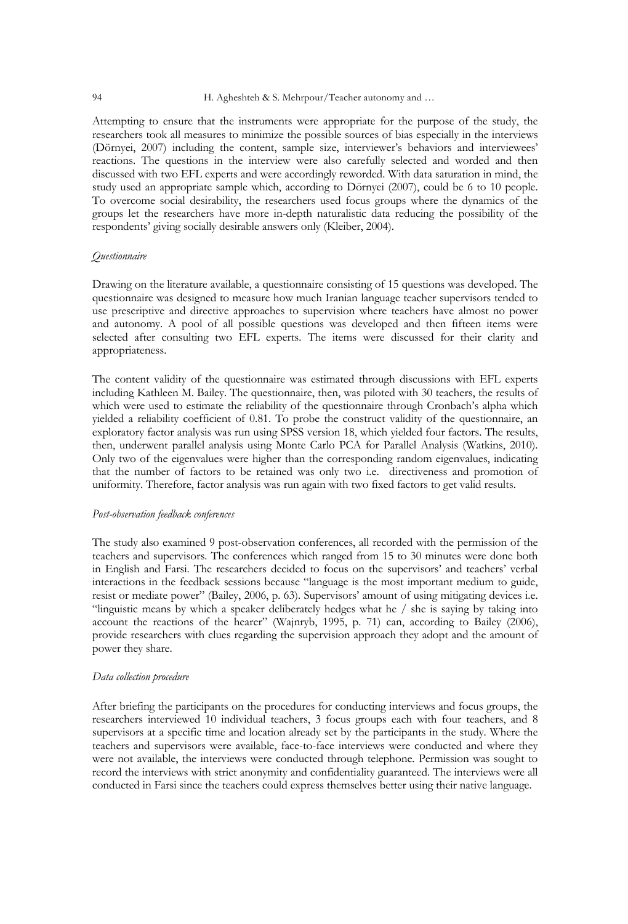Attempting to ensure that the instruments were appropriate for the purpose of the study, the researchers took all measures to minimize the possible sources of bias especially in the interviews (Dörnyei, 2007) including the content, sample size, interviewer's behaviors and interviewees' reactions. The questions in the interview were also carefully selected and worded and then discussed with two EFL experts and were accordingly reworded. With data saturation in mind, the study used an appropriate sample which, according to Dörnyei (2007), could be 6 to 10 people. To overcome social desirability, the researchers used focus groups where the dynamics of the groups let the researchers have more in-depth naturalistic data reducing the possibility of the respondents' giving socially desirable answers only (Kleiber, 2004).

## *Questionnaire*

Drawing on the literature available, a questionnaire consisting of 15 questions was developed. The questionnaire was designed to measure how much Iranian language teacher supervisors tended to use prescriptive and directive approaches to supervision where teachers have almost no power and autonomy. A pool of all possible questions was developed and then fifteen items were selected after consulting two EFL experts. The items were discussed for their clarity and appropriateness.

The content validity of the questionnaire was estimated through discussions with EFL experts including Kathleen M. Bailey. The questionnaire, then, was piloted with 30 teachers, the results of which were used to estimate the reliability of the questionnaire through Cronbach's alpha which yielded a reliability coefficient of 0.81. To probe the construct validity of the questionnaire, an exploratory factor analysis was run using SPSS version 18, which yielded four factors. The results, then, underwent parallel analysis using Monte Carlo PCA for Parallel Analysis (Watkins, 2010). Only two of the eigenvalues were higher than the corresponding random eigenvalues, indicating that the number of factors to be retained was only two i.e. directiveness and promotion of uniformity. Therefore, factor analysis was run again with two fixed factors to get valid results.

#### *Post-observation feedback conferences*

The study also examined 9 post-observation conferences, all recorded with the permission of the teachers and supervisors. The conferences which ranged from 15 to 30 minutes were done both in English and Farsi. The researchers decided to focus on the supervisors' and teachers' verbal interactions in the feedback sessions because "language is the most important medium to guide, resist or mediate power" (Bailey, 2006, p. 63). Supervisors' amount of using mitigating devices i.e. "linguistic means by which a speaker deliberately hedges what he / she is saying by taking into account the reactions of the hearer" (Wajnryb, 1995, p. 71) can, according to Bailey (2006), provide researchers with clues regarding the supervision approach they adopt and the amount of power they share.

#### *Data collection procedure*

After briefing the participants on the procedures for conducting interviews and focus groups, the researchers interviewed 10 individual teachers, 3 focus groups each with four teachers, and 8 supervisors at a specific time and location already set by the participants in the study. Where the teachers and supervisors were available, face-to-face interviews were conducted and where they were not available, the interviews were conducted through telephone. Permission was sought to record the interviews with strict anonymity and confidentiality guaranteed. The interviews were all conducted in Farsi since the teachers could express themselves better using their native language.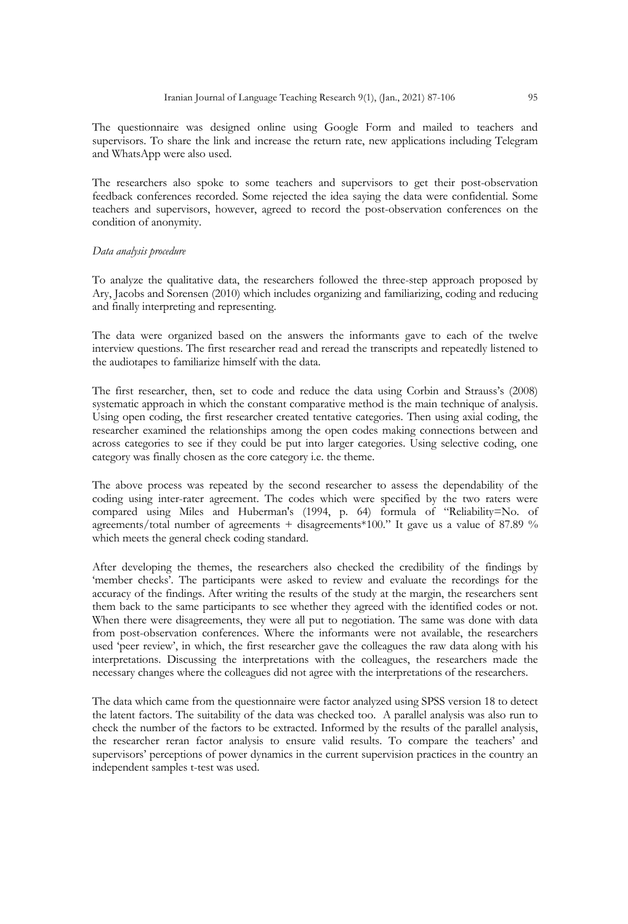The questionnaire was designed online using Google Form and mailed to teachers and supervisors. To share the link and increase the return rate, new applications including Telegram and WhatsApp were also used.

The researchers also spoke to some teachers and supervisors to get their post-observation feedback conferences recorded. Some rejected the idea saying the data were confidential. Some teachers and supervisors, however, agreed to record the post-observation conferences on the condition of anonymity.

## *Data analysis procedure*

To analyze the qualitative data, the researchers followed the three-step approach proposed by Ary, Jacobs and Sorensen (2010) which includes organizing and familiarizing, coding and reducing and finally interpreting and representing.

The data were organized based on the answers the informants gave to each of the twelve interview questions. The first researcher read and reread the transcripts and repeatedly listened to the audiotapes to familiarize himself with the data.

The first researcher, then, set to code and reduce the data using Corbin and Strauss's (2008) systematic approach in which the constant comparative method is the main technique of analysis. Using open coding, the first researcher created tentative categories. Then using axial coding, the researcher examined the relationships among the open codes making connections between and across categories to see if they could be put into larger categories. Using selective coding, one category was finally chosen as the core category i.e. the theme.

The above process was repeated by the second researcher to assess the dependability of the coding using inter-rater agreement. The codes which were specified by the two raters were compared using Miles and Huberman's (1994, p. 64) formula of "Reliability=No. of agreements/total number of agreements + disagreements\*100." It gave us a value of 87.89 % which meets the general check coding standard.

After developing the themes, the researchers also checked the credibility of the findings by 'member checks'. The participants were asked to review and evaluate the recordings for the accuracy of the findings. After writing the results of the study at the margin, the researchers sent them back to the same participants to see whether they agreed with the identified codes or not. When there were disagreements, they were all put to negotiation. The same was done with data from post-observation conferences. Where the informants were not available, the researchers used 'peer review', in which, the first researcher gave the colleagues the raw data along with his interpretations. Discussing the interpretations with the colleagues, the researchers made the necessary changes where the colleagues did not agree with the interpretations of the researchers.

The data which came from the questionnaire were factor analyzed using SPSS version 18 to detect the latent factors. The suitability of the data was checked too. A parallel analysis was also run to check the number of the factors to be extracted. Informed by the results of the parallel analysis, the researcher reran factor analysis to ensure valid results. To compare the teachers' and supervisors' perceptions of power dynamics in the current supervision practices in the country an independent samples t-test was used.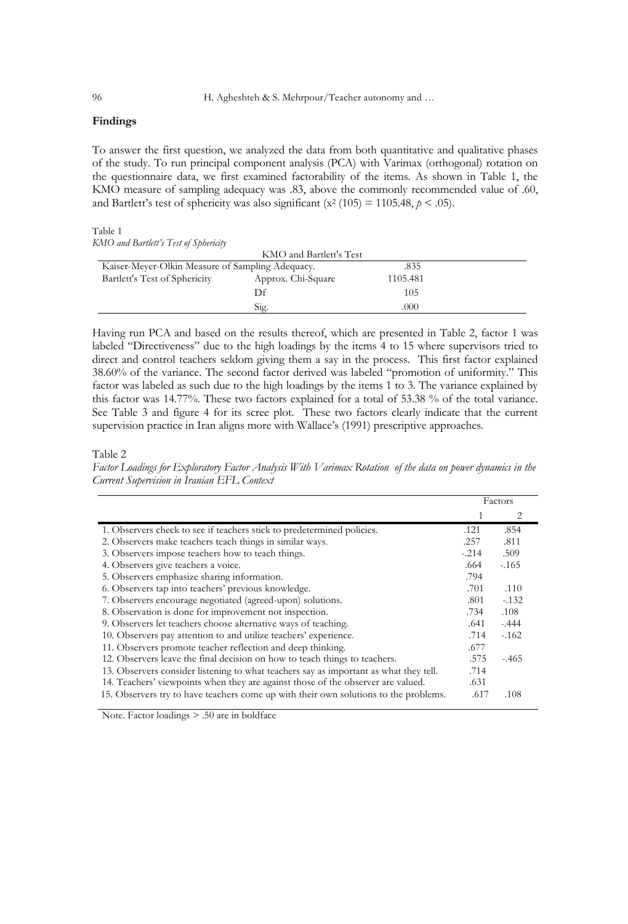## **Findings**

To answer the first question, we analyzed the data from both quantitative and qualitative phases of the study. To run principal component analysis (PCA) with Varimax (orthogonal) rotation on the questionnaire data, we first examined factorability of the items. As shown in Table 1, the KMO measure of sampling adequacy was .83, above the commonly recommended value of .60, and Bartlett's test of sphericity was also significant ( $x^2$  (105) = 1105.48,  $p < .05$ ).

Table 1 *KMO and Bartlett's Test of Sphericity*

|                                                  | KMO and Bartlett's Test |          |  |
|--------------------------------------------------|-------------------------|----------|--|
| Kaiser-Meyer-Olkin Measure of Sampling Adequacy. |                         | .835     |  |
| Bartlett's Test of Sphericity                    | Approx. Chi-Square      | 1105.481 |  |
|                                                  | Df                      | 105      |  |
|                                                  | Sig.                    | .000     |  |

Having run PCA and based on the results thereof, which are presented in Table 2, factor 1 was labeled "Directiveness" due to the high loadings by the items 4 to 15 where supervisors tried to direct and control teachers seldom giving them a say in the process. This first factor explained 38.60% of the variance. The second factor derived was labeled "promotion of uniformity." This factor was labeled as such due to the high loadings by the items 1 to 3. The variance explained by this factor was 14.77%. These two factors explained for a total of 53.38 % of the total variance. See Table 3 and figure 4 for its scree plot. These two factors clearly indicate that the current supervision practice in Iran aligns more with Wallace's (1991) prescriptive approaches.

Table 2

*Factor Loadings for Exploratory Factor Analysis With Varimax Rotation of the data on power dynamics in the Current Supervision in Iranian EFL Context*

|                                                                                       | Factors |         |  |
|---------------------------------------------------------------------------------------|---------|---------|--|
|                                                                                       |         | 2       |  |
| 1. Observers check to see if teachers stick to predetermined policies.                | .121    | .854    |  |
| 2. Observers make teachers teach things in similar ways.                              | .257    | .811    |  |
| 3. Observers impose teachers how to teach things.                                     | $-.214$ | .509    |  |
| 4. Observers give teachers a voice.                                                   | .664    | $-165$  |  |
| 5. Observers emphasize sharing information.                                           | .794    |         |  |
| 6. Observers tap into teachers' previous knowledge.                                   | .701    | .110    |  |
| 7. Observers encourage negotiated (agreed-upon) solutions.                            | .801    | $-132$  |  |
| 8. Observation is done for improvement not inspection.                                | .734    | .108    |  |
| 9. Observers let teachers choose alternative ways of teaching.                        | .641    | $-.444$ |  |
| 10. Observers pay attention to and utilize teachers' experience.                      | .714    | $-162$  |  |
| 11. Observers promote teacher reflection and deep thinking.                           | .677    |         |  |
| 12. Observers leave the final decision on how to teach things to teachers.            | .575    | $-465$  |  |
| 13. Observers consider listening to what teachers say as important as what they tell. | .714    |         |  |
| 14. Teachers' viewpoints when they are against those of the observer are valued.      | .631    |         |  |
| 15. Observers try to have teachers come up with their own solutions to the problems.  | .617    | .108    |  |

Note. Factor loadings > .50 are in boldface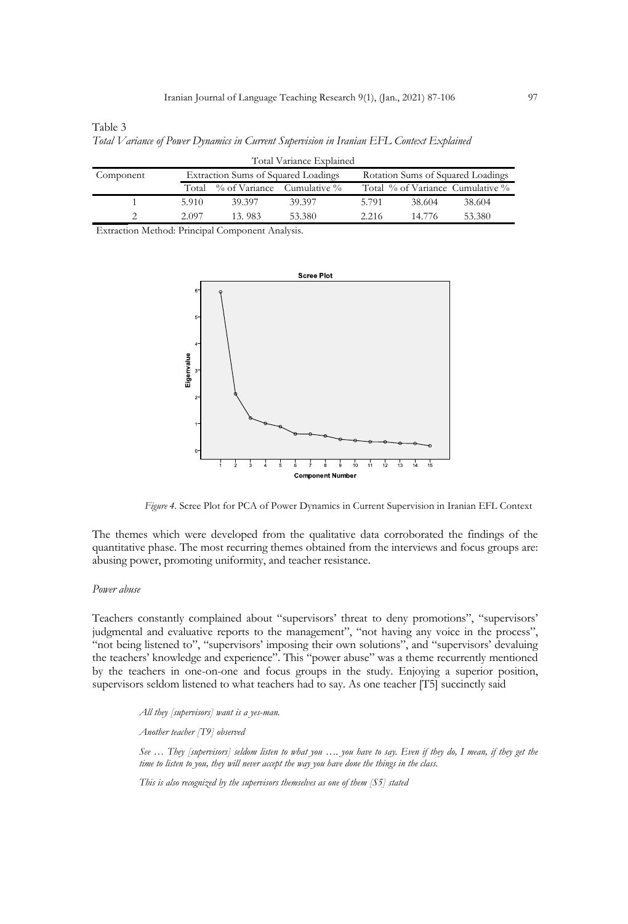| Table 3                                                                                  |  |  |
|------------------------------------------------------------------------------------------|--|--|
| Total Variance of Power Dynamics in Current Supervision in Iranian EFL Context Explained |  |  |

|           |       |                                     | Total Variance Explained |       |                                   |                                  |  |
|-----------|-------|-------------------------------------|--------------------------|-------|-----------------------------------|----------------------------------|--|
| Component |       | Extraction Sums of Squared Loadings |                          |       | Rotation Sums of Squared Loadings |                                  |  |
|           |       | Total % of Variance Cumulative %    |                          |       |                                   | Total % of Variance Cumulative % |  |
|           | 5.910 | 39.397                              | 39.397                   | 5.791 | 38.604                            | 38.604                           |  |
|           | 2.097 | 13.983                              | 53.380                   | 2.216 | 14 776                            | 53.380                           |  |

Extraction Method: Principal Component Analysis.



*Figure 4.* Scree Plot for PCA of Power Dynamics in Current Supervision in Iranian EFL Context

The themes which were developed from the qualitative data corroborated the findings of the quantitative phase. The most recurring themes obtained from the interviews and focus groups are: abusing power, promoting uniformity, and teacher resistance.

#### *Power abuse*

Teachers constantly complained about "supervisors' threat to deny promotions", "supervisors' judgmental and evaluative reports to the management", "not having any voice in the process", "not being listened to", "supervisors' imposing their own solutions", and "supervisors' devaluing the teachers' knowledge and experience". This "power abuse" was a theme recurrently mentioned by the teachers in one-on-one and focus groups in the study. Enjoying a superior position, supervisors seldom listened to what teachers had to say. As one teacher [T5] succinctly said

*All they [supervisors] want is a yes-man.*

*Another teacher [T9] observed* 

*See … They [supervisors] seldom listen to what you …. you have to say. Even if they do, I mean, if they get the time to listen to you, they will never accept the way you have done the things in the class.* 

*This is also recognized by the supervisors themselves as one of them [S5] stated*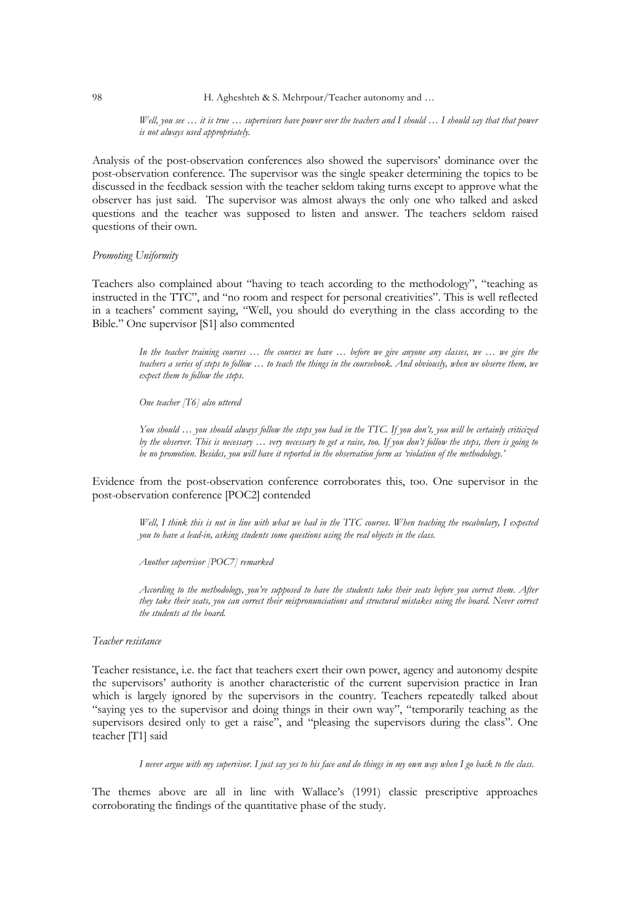*Well, you see … it is true … supervisors have power over the teachers and I should … I should say that that power is not always used appropriately.* 

Analysis of the post-observation conferences also showed the supervisors' dominance over the post-observation conference. The supervisor was the single speaker determining the topics to be discussed in the feedback session with the teacher seldom taking turns except to approve what the observer has just said. The supervisor was almost always the only one who talked and asked questions and the teacher was supposed to listen and answer. The teachers seldom raised questions of their own.

#### *Promoting Uniformity*

Teachers also complained about "having to teach according to the methodology", "teaching as instructed in the TTC", and "no room and respect for personal creativities". This is well reflected in a teachers' comment saying, "Well, you should do everything in the class according to the Bible." One supervisor [S1] also commented

> *In the teacher training courses … the courses we have … before we give anyone any classes, we … we give the teachers a series of steps to follow … to teach the things in the coursebook. And obviously, when we observe them, we expect them to follow the steps.*

*One teacher [T6] also uttered*

*You should … you should always follow the steps you had in the TTC. If you don't, you will be certainly criticized by the observer. This is necessary … very necessary to get a raise, too. If you don't follow the steps, there is going to be no promotion. Besides, you will have it reported in the observation form as 'violation of the methodology.'* 

Evidence from the post-observation conference corroborates this, too. One supervisor in the post-observation conference [POC2] contended

*Well, I think this is not in line with what we had in the TTC courses. When teaching the vocabulary, I expected you to have a lead-in, asking students some questions using the real objects in the class.*

*Another supervisor [POC7] remarked*

*According to the methodology, you're supposed to have the students take their seats before you correct them. After they take their seats, you can correct their mispronunciations and structural mistakes using the board. Never correct the students at the board.* 

## *Teacher resistance*

Teacher resistance, i.e. the fact that teachers exert their own power, agency and autonomy despite the supervisors' authority is another characteristic of the current supervision practice in Iran which is largely ignored by the supervisors in the country. Teachers repeatedly talked about "saying yes to the supervisor and doing things in their own way", "temporarily teaching as the supervisors desired only to get a raise", and "pleasing the supervisors during the class". One teacher [T1] said

*I never argue with my supervisor. I just say yes to his face and do things in my own way when I go back to the class.* 

The themes above are all in line with Wallace's (1991) classic prescriptive approaches corroborating the findings of the quantitative phase of the study.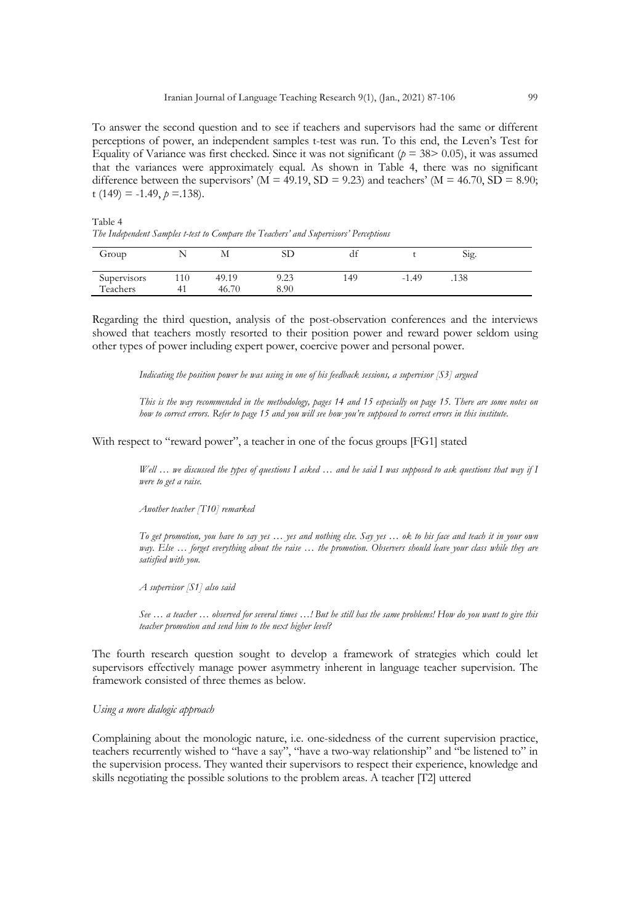To answer the second question and to see if teachers and supervisors had the same or different perceptions of power, an independent samples t-test was run. To this end, the Leven's Test for Equality of Variance was first checked. Since it was not significant ( $p = 38$  > 0.05), it was assumed that the variances were approximately equal. As shown in Table 4, there was no significant difference between the supervisors' ( $M = 49.19$ ,  $SD = 9.23$ ) and teachers' ( $M = 46.70$ ,  $SD = 8.90$ ; t  $(149) = -1.49$ ,  $p = 1.138$ .

Table 4 *The Independent Samples t-test to Compare the Teachers' and Supervisors' Perceptions*

|       | SD           | df   |         | Sig. |  |
|-------|--------------|------|---------|------|--|
| 49.19 | 9.23         | 149  | $-1.49$ | .138 |  |
|       | 110<br>46.70 | 8.90 |         |      |  |

Regarding the third question, analysis of the post-observation conferences and the interviews showed that teachers mostly resorted to their position power and reward power seldom using other types of power including expert power, coercive power and personal power.

*Indicating the position power he was using in one of his feedback sessions, a supervisor [S3] argued* 

*This is the way recommended in the methodology, pages 14 and 15 especially on page 15. There are some notes on how to correct errors. Refer to page 15 and you will see how you're supposed to correct errors in this institute.*

With respect to "reward power", a teacher in one of the focus groups [FG1] stated

*Well … we discussed the types of questions I asked … and he said I was supposed to ask questions that way if I were to get a raise.*

*Another teacher [T10] remarked*

*To get promotion, you have to say yes … yes and nothing else. Say yes … ok to his face and teach it in your own*  way. Else ... forget everything about the raise ... the promotion. Observers should leave your class while they are *satisfied with you.* 

*A supervisor [S1] also said*

*See … a teacher … observed for several times …! But he still has the same problems! How do you want to give this teacher promotion and send him to the next higher level?* 

The fourth research question sought to develop a framework of strategies which could let supervisors effectively manage power asymmetry inherent in language teacher supervision. The framework consisted of three themes as below.

## *Using a more dialogic approach*

Complaining about the monologic nature, i.e. one-sidedness of the current supervision practice, teachers recurrently wished to "have a say", "have a two-way relationship" and "be listened to" in the supervision process. They wanted their supervisors to respect their experience, knowledge and skills negotiating the possible solutions to the problem areas. A teacher [T2] uttered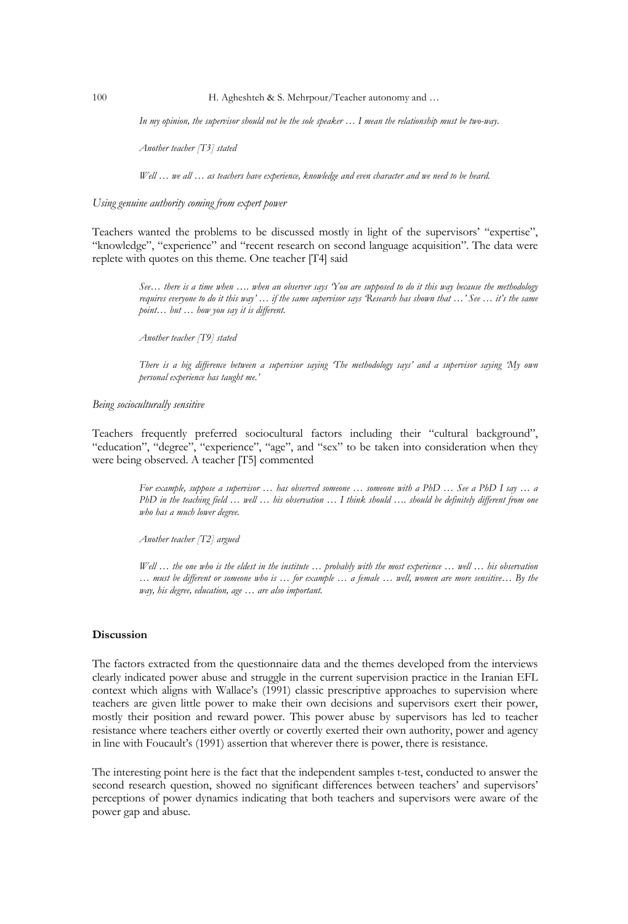*In my opinion, the supervisor should not be the sole speaker … I mean the relationship must be two-way.* 

*Another teacher [T3] stated*

*Well … we all … as teachers have experience, knowledge and even character and we need to be heard.*

## *Using genuine authority coming from expert power*

Teachers wanted the problems to be discussed mostly in light of the supervisors' "expertise", "knowledge", "experience" and "recent research on second language acquisition". The data were replete with quotes on this theme. One teacher [T4] said

> *See… there is a time when …. when an observer says 'You are supposed to do it this way because the methodology requires everyone to do it this way' … if the same supervisor says 'Research has shown that …' See … it's the same point… but … how you say it is different.*

*Another teacher [T9] stated*

*There is a big difference between a supervisor saying 'The methodology says' and a supervisor saying 'My own personal experience has taught me.'*

### *Being socioculturally sensitive*

Teachers frequently preferred sociocultural factors including their "cultural background", "education", "degree", "experience", "age", and "sex" to be taken into consideration when they were being observed. A teacher [T5] commented

> *For example, suppose a supervisor … has observed someone … someone with a PhD … See a PhD I say … a PhD in the teaching field … well … his observation … I think should …. should be definitely different from one who has a much lower degree.*

*Another teacher [T2] argued*

*Well … the one who is the eldest in the institute … probably with the most experience … well … his observation … must be different or someone who is … for example … a female … well, women are more sensitive… By the way, his degree, education, age … are also important.* 

## **Discussion**

The factors extracted from the questionnaire data and the themes developed from the interviews clearly indicated power abuse and struggle in the current supervision practice in the Iranian EFL context which aligns with Wallace's (1991) classic prescriptive approaches to supervision where teachers are given little power to make their own decisions and supervisors exert their power, mostly their position and reward power. This power abuse by supervisors has led to teacher resistance where teachers either overtly or covertly exerted their own authority, power and agency in line with Foucault's (1991) assertion that wherever there is power, there is resistance.

The interesting point here is the fact that the independent samples t-test, conducted to answer the second research question, showed no significant differences between teachers' and supervisors' perceptions of power dynamics indicating that both teachers and supervisors were aware of the power gap and abuse.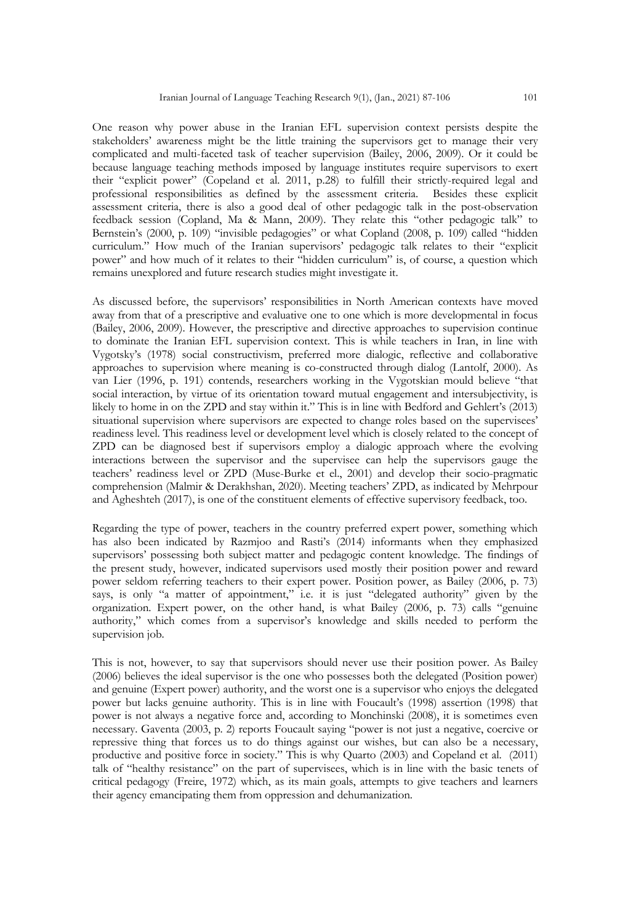One reason why power abuse in the Iranian EFL supervision context persists despite the stakeholders' awareness might be the little training the supervisors get to manage their very complicated and multi-faceted task of teacher supervision (Bailey, 2006, 2009). Or it could be because language teaching methods imposed by language institutes require supervisors to exert their "explicit power" (Copeland et al. 2011, p.28) to fulfill their strictly-required legal and professional responsibilities as defined by the assessment criteria. Besides these explicit assessment criteria, there is also a good deal of other pedagogic talk in the post-observation feedback session (Copland, Ma & Mann, 2009). They relate this "other pedagogic talk" to Bernstein's (2000, p. 109) "invisible pedagogies" or what Copland (2008, p. 109) called "hidden curriculum." How much of the Iranian supervisors' pedagogic talk relates to their "explicit power" and how much of it relates to their "hidden curriculum" is, of course, a question which remains unexplored and future research studies might investigate it.

As discussed before, the supervisors' responsibilities in North American contexts have moved away from that of a prescriptive and evaluative one to one which is more developmental in focus (Bailey, 2006, 2009). However, the prescriptive and directive approaches to supervision continue to dominate the Iranian EFL supervision context. This is while teachers in Iran, in line with Vygotsky's (1978) social constructivism, preferred more dialogic, reflective and collaborative approaches to supervision where meaning is co-constructed through dialog (Lantolf, 2000). As van Lier (1996, p. 191) contends, researchers working in the Vygotskian mould believe "that social interaction, by virtue of its orientation toward mutual engagement and intersubjectivity, is likely to home in on the ZPD and stay within it." This is in line with Bedford and Gehlert's (2013) situational supervision where supervisors are expected to change roles based on the supervisees' readiness level. This readiness level or development level which is closely related to the concept of ZPD can be diagnosed best if supervisors employ a dialogic approach where the evolving interactions between the supervisor and the supervisee can help the supervisors gauge the teachers' readiness level or ZPD (Muse-Burke et el., 2001) and develop their socio-pragmatic comprehension (Malmir & Derakhshan, 2020). Meeting teachers' ZPD, as indicated by Mehrpour and Agheshteh (2017), is one of the constituent elements of effective supervisory feedback, too.

Regarding the type of power, teachers in the country preferred expert power, something which has also been indicated by Razmjoo and Rasti's (2014) informants when they emphasized supervisors' possessing both subject matter and pedagogic content knowledge. The findings of the present study, however, indicated supervisors used mostly their position power and reward power seldom referring teachers to their expert power. Position power, as Bailey (2006, p. 73) says, is only "a matter of appointment," i.e. it is just "delegated authority" given by the organization. Expert power, on the other hand, is what Bailey (2006, p. 73) calls "genuine authority," which comes from a supervisor's knowledge and skills needed to perform the supervision job.

This is not, however, to say that supervisors should never use their position power. As Bailey (2006) believes the ideal supervisor is the one who possesses both the delegated (Position power) and genuine (Expert power) authority, and the worst one is a supervisor who enjoys the delegated power but lacks genuine authority. This is in line with Foucault's (1998) assertion (1998) that power is not always a negative force and, according to Monchinski (2008), it is sometimes even necessary. Gaventa (2003, p. 2) reports Foucault saying "power is not just a negative, coercive or repressive thing that forces us to do things against our wishes, but can also be a necessary, productive and positive force in society." This is why Quarto (2003) and Copeland et al. (2011) talk of "healthy resistance" on the part of supervisees, which is in line with the basic tenets of critical pedagogy (Freire, 1972) which, as its main goals, attempts to give teachers and learners their agency emancipating them from oppression and dehumanization.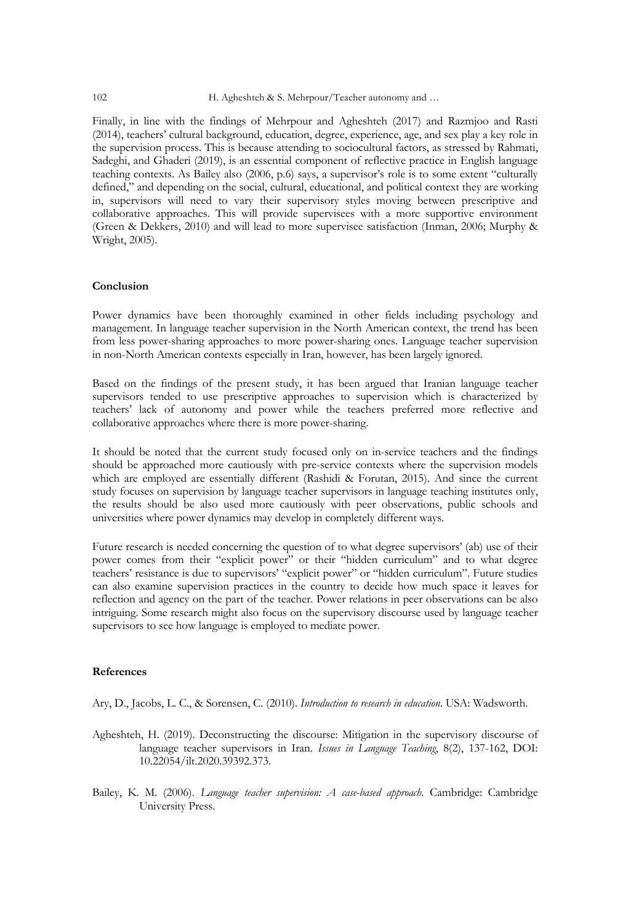Finally, in line with the findings of Mehrpour and Agheshteh (2017) and Razmjoo and Rasti (2014), teachers' cultural background, education, degree, experience, age, and sex play a key role in the supervision process. This is because attending to sociocultural factors, as stressed by Rahmati, Sadeghi, and Ghaderi (2019), is an essential component of reflective practice in English language teaching contexts. As Bailey also (2006, p.6) says, a supervisor's role is to some extent "culturally defined," and depending on the social, cultural, educational, and political context they are working in, supervisors will need to vary their supervisory styles moving between prescriptive and collaborative approaches. This will provide supervisees with a more supportive environment (Green & Dekkers, 2010) and will lead to more supervisee satisfaction (Inman, 2006; Murphy & Wright, 2005).

## **Conclusion**

Power dynamics have been thoroughly examined in other fields including psychology and management. In language teacher supervision in the North American context, the trend has been from less power-sharing approaches to more power-sharing ones. Language teacher supervision in non-North American contexts especially in Iran, however, has been largely ignored.

Based on the findings of the present study, it has been argued that Iranian language teacher supervisors tended to use prescriptive approaches to supervision which is characterized by teachers' lack of autonomy and power while the teachers preferred more reflective and collaborative approaches where there is more power-sharing.

It should be noted that the current study focused only on in-service teachers and the findings should be approached more cautiously with pre-service contexts where the supervision models which are employed are essentially different (Rashidi & Forutan, 2015). And since the current study focuses on supervision by language teacher supervisors in language teaching institutes only, the results should be also used more cautiously with peer observations, public schools and universities where power dynamics may develop in completely different ways.

Future research is needed concerning the question of to what degree supervisors' (ab) use of their power comes from their "explicit power" or their "hidden curriculum" and to what degree teachers' resistance is due to supervisors' "explicit power" or "hidden curriculum". Future studies can also examine supervision practices in the country to decide how much space it leaves for reflection and agency on the part of the teacher. Power relations in peer observations can be also intriguing. Some research might also focus on the supervisory discourse used by language teacher supervisors to see how language is employed to mediate power.

## **References**

Ary, D., Jacobs, L. C., & Sorensen, C. (2010). *Introduction to research in education*. USA: Wadsworth.

- Agheshteh, H. (2019). Deconstructing the discourse: Mitigation in the supervisory discourse of language teacher supervisors in Iran. *Issues in Language Teaching*, 8(2), 137-162, DOI: 10.22054/ilt.2020.39392.373.
- Bailey, K. M. (2006). *Language teacher supervision: A case-based approach*. Cambridge: Cambridge University Press.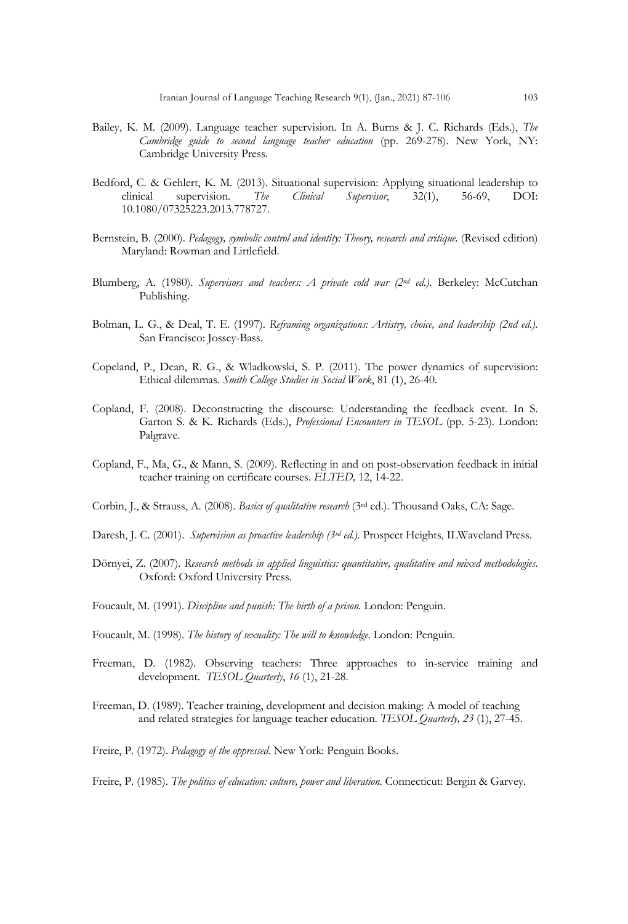- Bailey, K. M. (2009). Language teacher supervision. In A. Burns & J. C. Richards (Eds.), *The Cambridge guide to second language teacher education* (pp. 269-278). New York, NY: Cambridge University Press.
- Bedford, C. & Gehlert, K. M. (2013). Situational supervision: Applying situational leadership to clinical supervision. The Clinical Supervisor, 32(1), 56-69, DOI: clinical supervision. *The Clinical Supervisor*, 32(1), 56-69, DOI: 10.1080/07325223.2013.778727.
- Bernstein, B. (2000). *Pedagogy, symbolic control and identity: Theory, research and critique.* (Revised edition) Maryland: Rowman and Littlefield.
- Blumberg, A. (1980). *Supervisors and teachers: A private cold war (2nd ed.).* Berkeley: McCutchan Publishing.
- Bolman, L. G., & Deal, T. E. (1997). *Reframing organizations: Artistry, choice, and leadership (2nd ed.)*. San Francisco: Jossey-Bass.
- Copeland, P., Dean, R. G., & Wladkowski, S. P. (2011). The power dynamics of supervision: Ethical dilemmas. *Smith College Studies in Social Work*, 81 (1), 26-40.
- Copland, F. (2008). Deconstructing the discourse: Understanding the feedback event. In S. Garton S. & K. Richards (Eds.), *Professional Encounters in TESOL* (pp. 5-23)*.* London: Palgrave.
- Copland, F., Ma, G., & Mann, S. (2009). Reflecting in and on post-observation feedback in initial teacher training on certificate courses. *ELTED,* 12, 14-22.
- Corbin, J., & Strauss, A. (2008). *Basics of qualitative research* (3rd ed.). Thousand Oaks, CA: Sage.
- Daresh, J. C. (2001). *Supervision as proactive leadership (3rd ed.).* Prospect Heights, ILWaveland Press.
- Dörnyei, Z. (2007). *Research methods in applied linguistics: quantitative, qualitative and mixed methodologies*. Oxford: Oxford University Press.
- Foucault, M. (1991). *Discipline and punish: The birth of a prison.* London: Penguin.
- Foucault, M. (1998). *The history of sexuality: The will to knowledge*. London: Penguin.
- Freeman, D. (1982). Observing teachers: Three approaches to in-service training and development. *TESOL Quarterly*, *16* (1), 21-28.
- Freeman, D. (1989). Teacher training, development and decision making: A model of teaching and related strategies for language teacher education. *TESOL Quarterly, 23* (1), 27-45.
- Freire, P. (1972). *Pedagogy of the oppressed*. New York: Penguin Books.
- Freire, P. (1985). *The politics of education: culture, power and liberation*. Connecticut: Bergin & Garvey.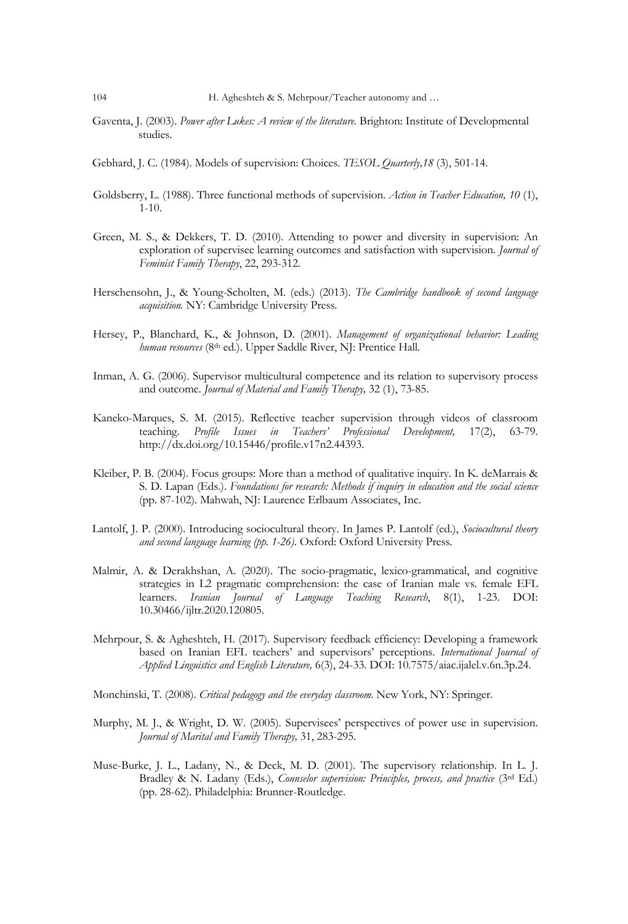- Gaventa, J. (2003). *Power after Lukes: A review of the literature.* Brighton: Institute of Developmental studies.
- Gebhard, J. C. (1984). Models of supervision: Choices. *TESOL Quarterly,18* (3), 501-14.
- Goldsberry, L. (1988). Three functional methods of supervision. *Action in Teacher Education, 10* (1), 1-10.
- Green, M. S., & Dekkers, T. D. (2010). Attending to power and diversity in supervision: An exploration of supervisee learning outcomes and satisfaction with supervision. *Journal of Feminist Family Therapy*, 22, 293-312.
- Herschensohn, J., & Young-Scholten, M. (eds.) (2013). *The Cambridge handbook of second language acquisition.* NY: Cambridge University Press.
- Hersey, P., Blanchard, K., & Johnson, D. (2001). *Management of organizational behavior: Leading human resources* (8th ed.). Upper Saddle River, NJ: Prentice Hall.
- Inman, A. G. (2006). Supervisor multicultural competence and its relation to supervisory process and outcome. *Journal of Material and Family Therapy,* 32 (1), 73-85.
- Kaneko-Marques, S. M. (2015). Reflective teacher supervision through videos of classroom<br>teaching. Profile Issues in Teachers' Professional Development. 17(2). 63-79. teaching. *Profile Issues in Teachers' Professional Development*, http://dx.doi.org/10.15446/profile.v17n2.44393.
- Kleiber, P. B. (2004). Focus groups: More than a method of qualitative inquiry. In K. deMarrais & S. D. Lapan (Eds.). *Foundations for research: Methods if inquiry in education and the social science* (pp. 87-102). Mahwah, NJ: Laurence Erlbaum Associates, Inc.
- Lantolf, J. P. (2000). Introducing sociocultural theory. In James P. Lantolf (ed.), *Sociocultural theory and second language learning (pp. 1-26)*. Oxford: Oxford University Press.
- Malmir, A. & Derakhshan, A. (2020). The socio-pragmatic, lexico-grammatical, and cognitive strategies in L2 pragmatic comprehension: the case of Iranian male vs. female EFL learners. *Iranian Journal of Language Teaching Research*, 8(1), 1-23. DOI: 10.30466/ijltr.2020.120805.
- Mehrpour, S. & Agheshteh, H. (2017). Supervisory feedback efficiency: Developing a framework based on Iranian EFL teachers' and supervisors' perceptions. *International Journal of Applied Linguistics and English Literature,* 6(3), 24-33. DOI: 10.7575/aiac.ijalel.v.6n.3p.24.
- Monchinski, T. (2008). *Critical pedagogy and the everyday classroom.* New York, NY: Springer.
- Murphy, M. J., & Wright, D. W. (2005). Supervisees' perspectives of power use in supervision. *Journal of Marital and Family Therapy,* 31, 283-295.
- Muse-Burke, J. L., Ladany, N., & Deck, M. D. (2001). The supervisory relationship. In L. J. Bradley & N. Ladany (Eds.), *Counselor supervision: Principles, process, and practice* (3rd Ed.) (pp. 28-62). Philadelphia: Brunner-Routledge.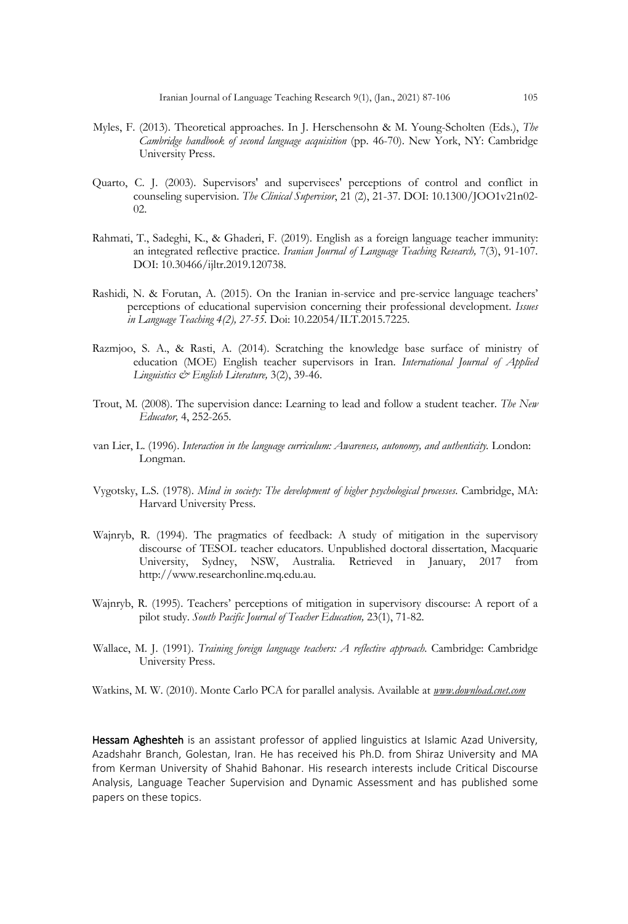- Myles, F. (2013). Theoretical approaches. In J. Herschensohn & M. Young-Scholten (Eds.), *The Cambridge handbook of second language acquisition* (pp. 46-70). New York, NY: Cambridge University Press.
- Quarto, C. J. (2003). Supervisors' and supervisees' perceptions of control and conflict in counseling supervision. *The Clinical Supervisor*, 21 (2), 21-37. DOI: 10.1300/JOO1v21n02- 02.
- Rahmati, T., Sadeghi, K., & Ghaderi, F. (2019). English as a foreign language teacher immunity: an integrated reflective practice. *Iranian Journal of Language Teaching Research,* 7(3), 91-107. DOI: 10.30466/ijltr.2019.120738.
- Rashidi, N. & Forutan, A. (2015). On the Iranian in-service and pre-service language teachers' perceptions of educational supervision concerning their professional development. *Issues in Language Teaching 4(2), 27-55.* Doi: 10.22054/ILT.2015.7225.
- Razmjoo, S. A., & Rasti, A. (2014). Scratching the knowledge base surface of ministry of education (MOE) English teacher supervisors in Iran. *International Journal of Applied Linguistics & English Literature,* 3(2), 39-46.
- Trout, M. (2008). The supervision dance: Learning to lead and follow a student teacher. *The New Educator,* 4, 252-265.
- van Lier, L. (1996). *Interaction in the language curriculum: Awareness, autonomy, and authenticity.* London: Longman.
- Vygotsky, L.S. (1978). *Mind in society: The development of higher psychological processes*. Cambridge, MA: Harvard University Press.
- Wajnryb, R. (1994). The pragmatics of feedback: A study of mitigation in the supervisory discourse of TESOL teacher educators. Unpublished doctoral dissertation, Macquarie University, Sydney, NSW, Australia. Retrieved in January, 2017 from http://www.researchonline.mq.edu.au.
- Wajnryb, R. (1995). Teachers' perceptions of mitigation in supervisory discourse: A report of a pilot study. *South Pacific Journal of Teacher Education,* 23(1), 71-82.
- Wallace, M. J. (1991). *Training foreign language teachers: A reflective approach*. Cambridge: Cambridge University Press.

Watkins, M. W. (2010). Monte Carlo PCA for parallel analysis. Available at *www.download.cnet.com*

Hessam Agheshteh is an assistant professor of applied linguistics at Islamic Azad University, Azadshahr Branch, Golestan, Iran. He has received his Ph.D. from Shiraz University and MA from Kerman University of Shahid Bahonar. His research interests include Critical Discourse Analysis, Language Teacher Supervision and Dynamic Assessment and has published some papers on these topics.